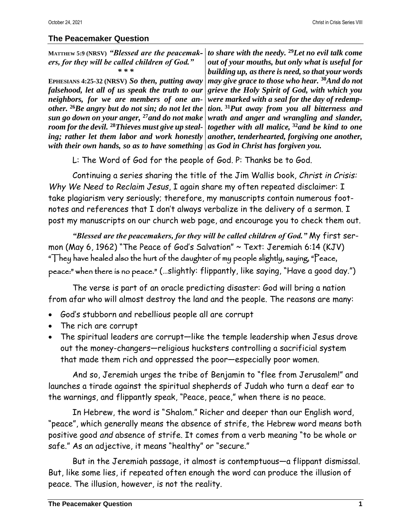## **The Peacemaker Question**

| MATTHEW 5:9 (NRSV) "Blessed are the peacemak-<br>ers, for they will be called children of God." | to share with the needy. $29$ Let no evil talk come<br>out of your mouths, but only what is useful for                     |
|-------------------------------------------------------------------------------------------------|----------------------------------------------------------------------------------------------------------------------------|
| * * *                                                                                           | building up, as there is need, so that your words                                                                          |
| EPHESIANS 4:25-32 (NRSV) So then, putting away                                                  | may give grace to those who hear. 30And do not                                                                             |
|                                                                                                 | falsehood, let all of us speak the truth to our   grieve the Holy Spirit of God, with which you                            |
|                                                                                                 | neighbors, for we are members of one an- were marked with a seal for the day of redemp-                                    |
|                                                                                                 | other. <sup>26</sup> Be angry but do not sin; do not let the   tion. <sup>31</sup> Put away from you all bitterness and    |
|                                                                                                 | sun go down on your anger, <sup>27</sup> and do not make wrath and anger and wrangling and slander,                        |
|                                                                                                 | room for the devil. <sup>28</sup> Thieves must give up steal-   together with all malice, <sup>32</sup> and be kind to one |
|                                                                                                 | ing; rather let them labor and work honestly another, tenderhearted, forgiving one another,                                |
| with their own hands, so as to have something $ $ as God in Christ has forgiven you.            |                                                                                                                            |
| L: The Word of God for the people of God. P: Thanks be to God.                                  |                                                                                                                            |

Continuing a series sharing the title of the Jim Wallis book, *Christ in Crisis: Why We Need to Reclaim Jesus*, I again share my often repeated disclaimer: I take plagiarism very seriously; therefore, my manuscripts contain numerous footnotes and references that I don't always verbalize in the delivery of a sermon. I post my manuscripts on our church web page, and encourage you to check them out.

*"Blessed are the peacemakers, for they will be called children of God."* My first sermon (May 6, 1962) "The Peace of God's Salvation" ~ Text: [Jeremiah 6:14](https://www.biblegateway.com/passage/?search=Jeremiah%206%3A14&version=KJV) (KJV) "They have healed also the hurt of the daughter of my people slightly, saying, "Peace, peace:" when there is no peace." (…slightly: flippantly, like saying, "Have a good day.")

The verse is part of an oracle predicting disaster: God will bring a nation from afar who will almost destroy the land and the people. The reasons are many:

- God's stubborn and rebellious people all are corrupt
- The rich are corrupt
- The spiritual leaders are corrupt—like the temple leadership when Jesus drove out the money-changers—religious hucksters controlling a sacrificial system that made them rich and oppressed the poor—especially poor women.

And so, Jeremiah urges the tribe of Benjamin to "flee from Jerusalem!" and launches a tirade against the spiritual shepherds of Judah who turn a deaf ear to the warnings, and flippantly speak, "Peace, peace," when there is no peace.

In Hebrew, the word is "Shalom." Richer and deeper than our English word, "peace", which generally means the absence of strife, the Hebrew word means both positive good *and* absence of strife. It comes from a verb meaning "to be whole or safe." As an adjective, it means "healthy" or "secure."

But in the Jeremiah passage, it almost is contemptuous—a flippant dismissal. But, like some lies, if repeated often enough the word can produce the illusion of peace. The illusion, however, is not the reality.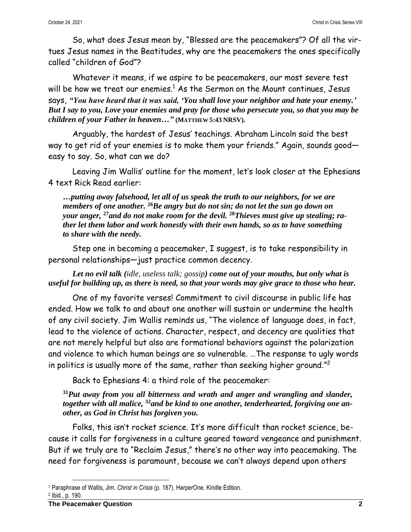So, what does Jesus mean by, "Blessed are the peacemakers"? Of all the virtues Jesus names in the Beatitudes, why are the peacemakers the ones specifically called "children of God"?

Whatever it means, if we aspire to be peacemakers, our most severe test will be how we treat our enemies. $^{\rm 1}$  As the Sermon on the Mount continues, Jesus says, *"You have heard that it was said, 'You shall love your neighbor and hate your enemy.' But I say to you, Love your enemies and pray for those who persecute you, so that you may be children of your Father in heaven…"* **(MATTHEW 5:43 NRSV).**

Arguably, the hardest of Jesus' teachings. Abraham Lincoln said the best way to get rid of your enemies is to make them your friends." Again, sounds good easy to say. So, what can we do?

Leaving Jim Wallis' outline for the moment, let's look closer at the Ephesians 4 text Rick Read earlier:

*…putting away falsehood, let all of us speak the truth to our neighbors, for we are members of one another.* **<sup>26</sup>***Be angry but do not sin; do not let the sun go down on your anger,* **<sup>27</sup>***and do not make room for the devil.* **<sup>28</sup>***Thieves must give up stealing; rather let them labor and work honestly with their own hands, so as to have something to share with the needy.*

Step one in becoming a peacemaker, I suggest, is to take responsibility in personal relationships—just practice common decency.

*Let no evil talk (idle, useless talk; gossip) come out of your mouths, but only what is useful for building up, as there is need, so that your words may give grace to those who hear.*

One of my favorite verses! Commitment to civil discourse in public life has ended. How we talk to and about one another will sustain or undermine the health of any civil society. Jim Wallis reminds us, "The violence of language does, in fact, lead to the violence of actions. Character, respect, and decency are qualities that are not merely helpful but also are formational behaviors against the polarization and violence to which human beings are so vulnerable. …The response to ugly words in politics is usually more of the same, rather than seeking higher ground." 2

Back to Ephesians 4: a third role of the peacemaker:

**<sup>31</sup>***Put away from you all bitterness and wrath and anger and wrangling and slander, together with all malice,* **<sup>32</sup>***and be kind to one another, tenderhearted, forgiving one another, as God in Christ has forgiven you.*

Folks, this isn't rocket science. It's more difficult than rocket science, because it calls for forgiveness in a culture geared toward vengeance and punishment. But if we truly are to "Reclaim Jesus," there's no other way into peacemaking. The need for forgiveness is paramount, because we can't always depend upon others

2 Ibid., p. 190.

<sup>1</sup> Paraphrase of Wallis, Jim. *Christ in Crisis* (p. 187). HarperOne. Kindle Edition.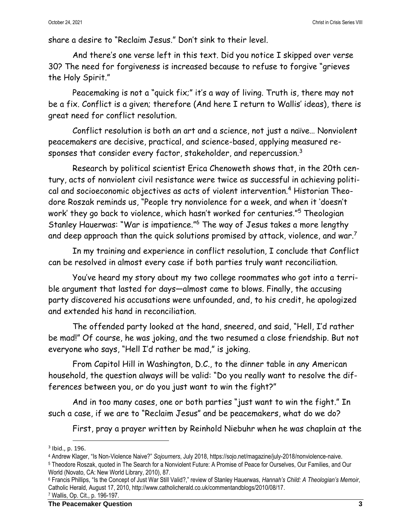share a desire to "Reclaim Jesus." Don't sink to their level.

And there's one verse left in this text. Did you notice I skipped over verse 30? The need for forgiveness is increased because to refuse to forgive "grieves the Holy Spirit."

Peacemaking is not a "quick fix;" it's a way of living. Truth is, there may not be a fix. Conflict is a given; therefore (And here I return to Wallis' ideas), there is great need for conflict resolution.

Conflict resolution is both an art and a science, not just a naïve… Nonviolent peacemakers are decisive, practical, and science-based, applying measured responses that consider every factor, stakeholder, and repercussion.<sup>3</sup>

Research by political scientist Erica Chenoweth shows that, in the 20th century, acts of nonviolent civil resistance were twice as successful in achieving political and socioeconomic objectives as acts of violent intervention.<sup>4</sup> Historian Theodore Roszak reminds us, "People try nonviolence for a week, and when it 'doesn't work' they go back to violence, which hasn't worked for centuries."<sup>5</sup> Theologian Stanley Hauerwas: "War is impatience." <sup>6</sup> The way of Jesus takes a more lengthy and deep approach than the quick solutions promised by attack, violence, and war.<sup>7</sup>

In my training and experience in conflict resolution, I conclude that Conflict can be resolved in almost every case if both parties truly want reconciliation.

You've heard my story about my two college roommates who got into a terrible argument that lasted for days—almost came to blows. Finally, the accusing party discovered his accusations were unfounded, and, to his credit, he apologized and extended his hand in reconciliation.

The offended party looked at the hand, sneered, and said, "Hell, I'd rather be mad!" Of course, he was joking, and the two resumed a close friendship. But not everyone who says, "Hell I'd rather be mad," is joking.

From Capitol Hill in Washington, D.C., to the dinner table in any American household, the question always will be valid: "Do you really want to resolve the differences between you, or do you just want to win the fight?"

And in too many cases, one or both parties "just want to win the fight." In such a case, if we are to "Reclaim Jesus" and be peacemakers, what do we do?

First, pray a prayer written by Reinhold Niebuhr when he was chaplain at the

<sup>3</sup> Ibid., p. 196.

<sup>4</sup> Andrew Klager, "Is Non-Violence Naive?" *Sojourners*, July 2018, https://sojo.net/magazine/july-2018/nonviolence-naive.

<sup>5</sup> Theodore Roszak, quoted in The Search for a Nonviolent Future: A Promise of Peace for Ourselves, Our Families, and Our World (Novato, CA: New World Library, 2010), 87.

<sup>6</sup> Francis Phillips, "Is the Concept of Just War Still Valid?," review of Stanley Hauerwas, *Hannah's Child: A Theologian's Memoir*, Catholic Herald, August 17, 2010, http://www.catholicherald.co.uk/commentandblogs/2010/08/17. <sup>7</sup> Wallis, Op. Cit., p. 196-197.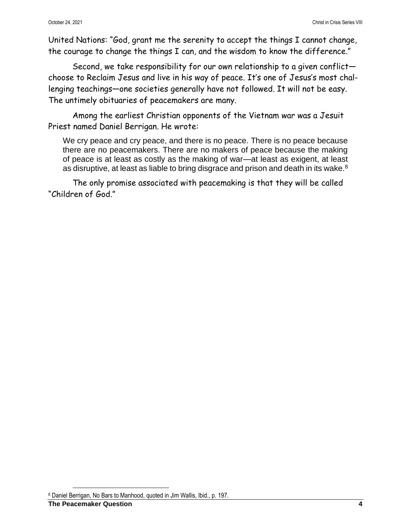United Nations: "God, grant me the serenity to accept the things I cannot change, the courage to change the things I can, and the wisdom to know the difference."

Second, we take responsibility for our own relationship to a given conflict choose to Reclaim Jesus and live in his way of peace. It's one of Jesus's most challenging teachings—one societies generally have not followed. It will not be easy. The untimely obituaries of peacemakers are many.

Among the earliest Christian opponents of the Vietnam war was a Jesuit Priest named Daniel Berrigan. He wrote:

We cry peace and cry peace, and there is no peace. There is no peace because there are no peacemakers. There are no makers of peace because the making of peace is at least as costly as the making of war—at least as exigent, at least as disruptive, at least as liable to bring disgrace and prison and death in its wake.<sup>8</sup>

The only promise associated with peacemaking is that they will be called "Children of God."

<sup>8</sup> Daniel Berrigan, No Bars to Manhood, quoted in Jim Wallis, Ibid., p. 197.